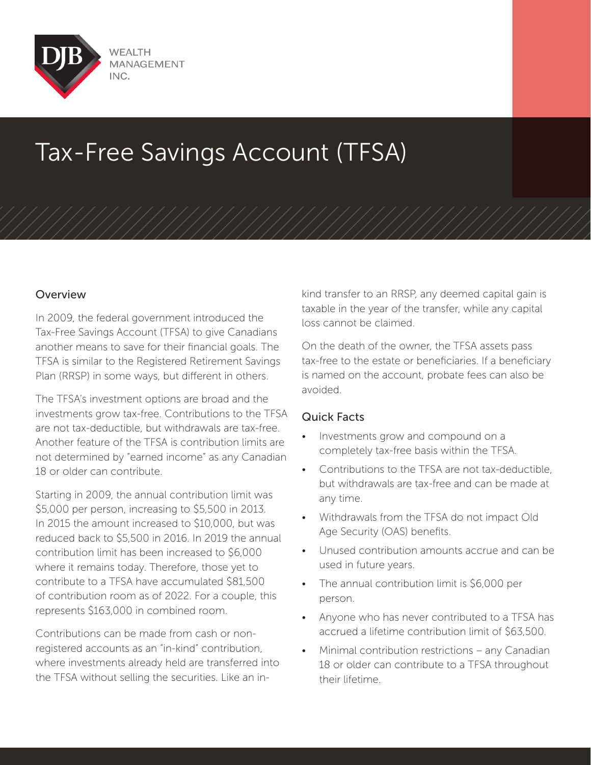

# Tax-Free Savings Account (TFSA)

#### **Overview**

In 2009, the federal government introduced the Tax-Free Savings Account (TFSA) to give Canadians another means to save for their financial goals. The TFSA is similar to the Registered Retirement Savings Plan (RRSP) in some ways, but different in others.

The TFSA's investment options are broad and the investments grow tax-free. Contributions to the TFSA are not tax-deductible, but withdrawals are tax-free. Another feature of the TFSA is contribution limits are not determined by "earned income" as any Canadian 18 or older can contribute.

Starting in 2009, the annual contribution limit was \$5,000 per person, increasing to \$5,500 in 2013. In 2015 the amount increased to \$10,000, but was reduced back to \$5,500 in 2016. In 2019 the annual contribution limit has been increased to \$6,000 where it remains today. Therefore, those yet to contribute to a TFSA have accumulated \$81,500 of contribution room as of 2022. For a couple, this represents \$163,000 in combined room.

Contributions can be made from cash or nonregistered accounts as an "in-kind" contribution, where investments already held are transferred into the TFSA without selling the securities. Like an inkind transfer to an RRSP, any deemed capital gain is taxable in the year of the transfer, while any capital loss cannot be claimed.

On the death of the owner, the TFSA assets pass tax-free to the estate or beneficiaries. If a beneficiary is named on the account, probate fees can also be avoided.

### Quick Facts

- Investments grow and compound on a completely tax-free basis within the TFSA.
- Contributions to the TFSA are not tax-deductible, but withdrawals are tax-free and can be made at any time.
- Withdrawals from the TFSA do not impact Old Age Security (OAS) benefits.
- Unused contribution amounts accrue and can be used in future years.
- The annual contribution limit is \$6,000 per person.
- Anyone who has never contributed to a TFSA has accrued a lifetime contribution limit of \$63,500.
- Minimal contribution restrictions any Canadian 18 or older can contribute to a TFSA throughout their lifetime.